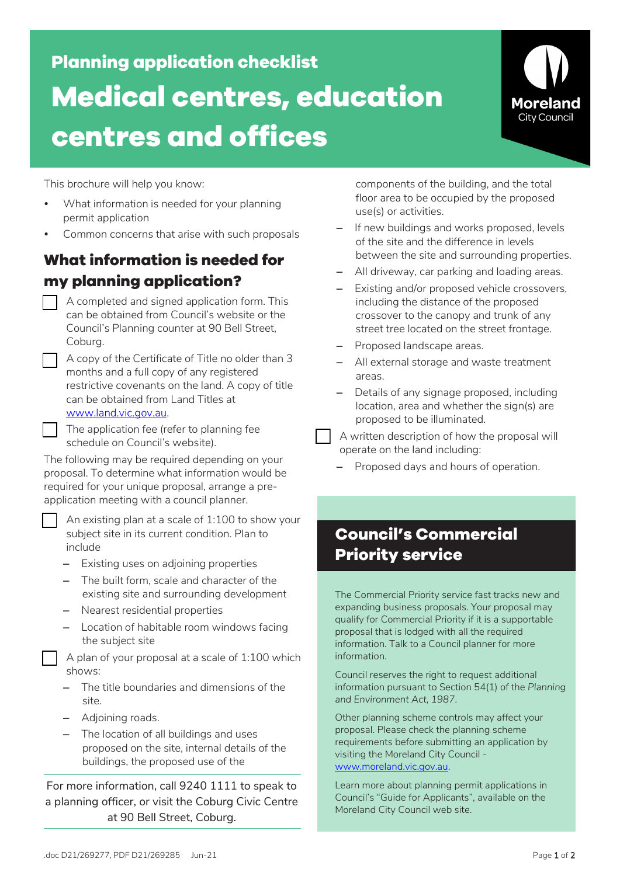**Planning application checklist Medical centres, education centres and offices**



This brochure will help you know:

- What information is needed for your planning permit application
- Common concerns that arise with such proposals

### **What information is needed for my planning application?**

- A completed and signed application form. This can be obtained from Council's website or the Council's Planning counter at 90 Bell Street, Coburg.
- A copy of the Certificate of Title no older than 3 months and a full copy of any registered restrictive covenants on the land. A copy of title can be obtained from Land Titles at www.land.vic.gov.au.
- The application fee (refer to planning fee schedule on Council's website).

The following may be required depending on your proposal. To determine what information would be required for your unique proposal, arrange a preapplication meeting with a council planner.

 An existing plan at a scale of 1:100 to show your subject site in its current condition. Plan to include

- Existing uses on adjoining properties
- The built form, scale and character of the existing site and surrounding development
- Nearest residential properties
- Location of habitable room windows facing the subject site

 A plan of your proposal at a scale of 1:100 which shows:

- The title boundaries and dimensions of the site.
- Adjoining roads.
- The location of all buildings and uses proposed on the site, internal details of the buildings, the proposed use of the

For more information, call 9240 1111 to speak to a planning officer, or visit the Coburg Civic Centre at 90 Bell Street, Coburg.

components of the building, and the total floor area to be occupied by the proposed use(s) or activities.

- If new buildings and works proposed, levels of the site and the difference in levels between the site and surrounding properties.
- All driveway, car parking and loading areas.
- Existing and/or proposed vehicle crossovers, including the distance of the proposed crossover to the canopy and trunk of any street tree located on the street frontage.
- Proposed landscape areas.
- All external storage and waste treatment areas.
- Details of any signage proposed, including location, area and whether the sign(s) are proposed to be illuminated.

 A written description of how the proposal will operate on the land including:

– Proposed days and hours of operation.

# **Council's Commercial Priority service**

The Commercial Priority service fast tracks new and expanding business proposals. Your proposal may qualify for Commercial Priority if it is a supportable proposal that is lodged with all the required information. Talk to a Council planner for more information.

Council reserves the right to request additional information pursuant to Section 54(1) of the *Planning and Environment Act, 1987*.

Other planning scheme controls may affect your proposal. Please check the planning scheme requirements before submitting an application by visiting the Moreland City Council www.moreland.vic.gov.au.

Learn more about planning permit applications in Council's "Guide for Applicants", available on the Moreland City Council web site.